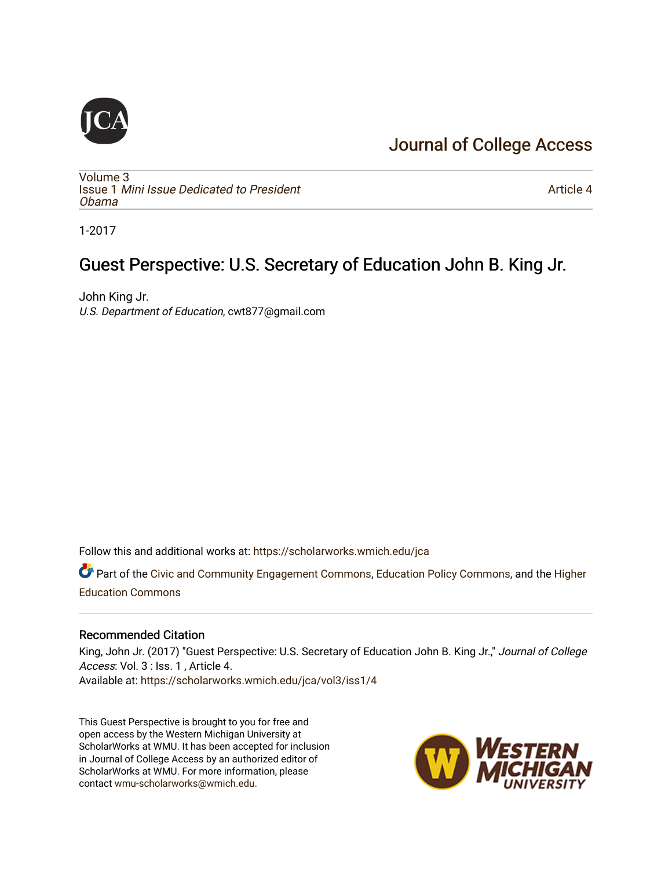#### [Journal of College Access](https://scholarworks.wmich.edu/jca)

[Volume 3](https://scholarworks.wmich.edu/jca/vol3) Issue 1 [Mini Issue Dedicated to President](https://scholarworks.wmich.edu/jca/vol3/iss1) [Obama](https://scholarworks.wmich.edu/jca/vol3/iss1)

[Article 4](https://scholarworks.wmich.edu/jca/vol3/iss1/4) 

1-2017

#### Guest Perspective: U.S. Secretary of Education John B. King Jr.

John King Jr. U.S. Department of Education, cwt877@gmail.com

Follow this and additional works at: [https://scholarworks.wmich.edu/jca](https://scholarworks.wmich.edu/jca?utm_source=scholarworks.wmich.edu%2Fjca%2Fvol3%2Fiss1%2F4&utm_medium=PDF&utm_campaign=PDFCoverPages)

Part of the [Civic and Community Engagement Commons](http://network.bepress.com/hgg/discipline/1028?utm_source=scholarworks.wmich.edu%2Fjca%2Fvol3%2Fiss1%2F4&utm_medium=PDF&utm_campaign=PDFCoverPages), [Education Policy Commons](http://network.bepress.com/hgg/discipline/1026?utm_source=scholarworks.wmich.edu%2Fjca%2Fvol3%2Fiss1%2F4&utm_medium=PDF&utm_campaign=PDFCoverPages), and the [Higher](http://network.bepress.com/hgg/discipline/1245?utm_source=scholarworks.wmich.edu%2Fjca%2Fvol3%2Fiss1%2F4&utm_medium=PDF&utm_campaign=PDFCoverPages)  [Education Commons](http://network.bepress.com/hgg/discipline/1245?utm_source=scholarworks.wmich.edu%2Fjca%2Fvol3%2Fiss1%2F4&utm_medium=PDF&utm_campaign=PDFCoverPages) 

#### Recommended Citation

King, John Jr. (2017) "Guest Perspective: U.S. Secretary of Education John B. King Jr.," Journal of College Access: Vol. 3 : Iss. 1 , Article 4. Available at: [https://scholarworks.wmich.edu/jca/vol3/iss1/4](https://scholarworks.wmich.edu/jca/vol3/iss1/4?utm_source=scholarworks.wmich.edu%2Fjca%2Fvol3%2Fiss1%2F4&utm_medium=PDF&utm_campaign=PDFCoverPages) 

This Guest Perspective is brought to you for free and open access by the Western Michigan University at ScholarWorks at WMU. It has been accepted for inclusion in Journal of College Access by an authorized editor of ScholarWorks at WMU. For more information, please contact [wmu-scholarworks@wmich.edu](mailto:wmu-scholarworks@wmich.edu).

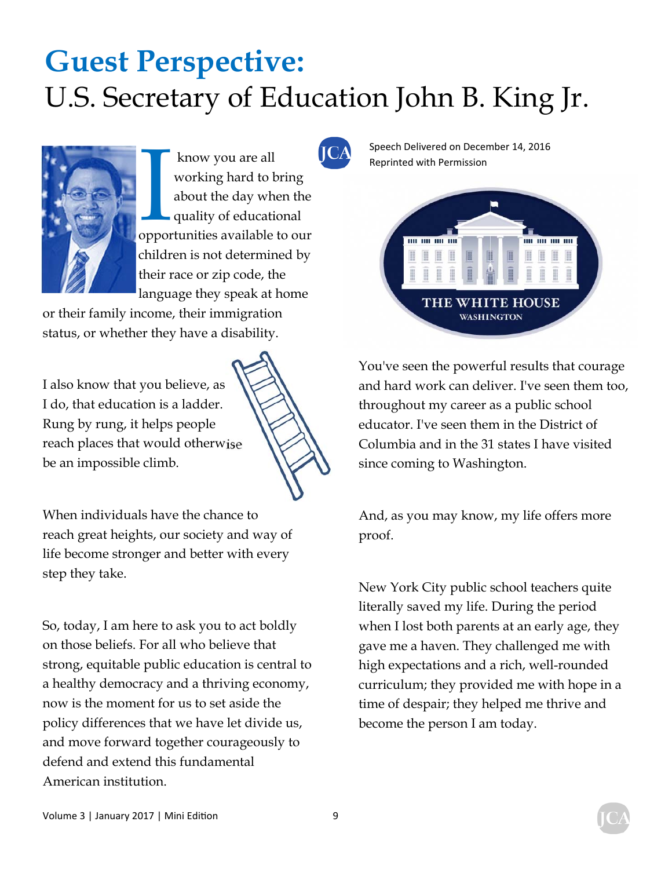

know you are all<br>working hard to bring<br>about the day when the<br>quality of educational<br>opportunities available to our working hard to bring about the day when the quality of educational opportunities available to our children is not determined by their race or zip code, the language they speak at home

or their family income, their immigration status, or whether they have a disability.

I also know that you believe, as I do, that education is a ladder. Rung by rung, it helps people reach places that would otherwise be an impossible climb.

When individuals have the chance to reach great heights, our society and way of life become stronger and better with every step they take.

So, today, I am here to ask you to act boldly on those beliefs. For all who believe that strong, equitable public education is central to a healthy democracy and a thriving economy, now is the moment for us to set aside the policy differences that we have let divide us, and move forward together courageously to defend and extend this fundamental American institution.

Speech Delivered on December 14, 2016



You've seen the powerful results that courage and hard work can deliver. I've seen them too, throughout my career as a public school educator. I've seen them in the District of Columbia and in the 31 states I have visited since coming to Washington.

And, as you may know, my life offers more proof.

New York City public school teachers quite literally saved my life. During the period when I lost both parents at an early age, they gave me a haven. They challenged me with high expectations and a rich, well-rounded curriculum; they provided me with hope in a time of despair; they helped me thrive and become the person I am today.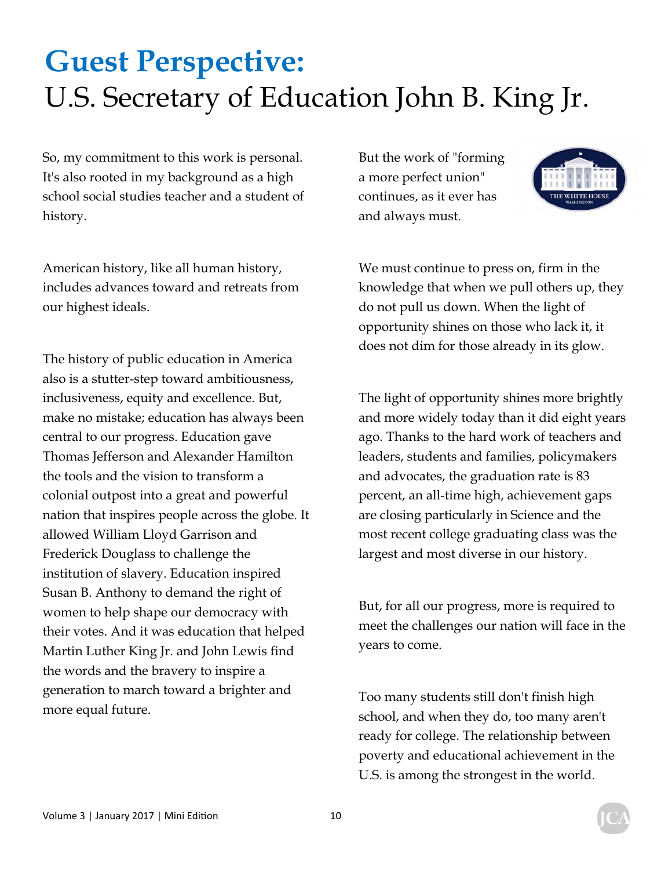So, my commitment to this work is personal. It's also rooted in my background as a high school social studies teacher and a student of history.

American history, like all human history, includes advances toward and retreats from our highest ideals.

The history of public education in America also is a stutter-step toward ambitiousness, inclusiveness, equity and excellence. But, make no mistake; education has always been central to our progress. Education gave Thomas Jefferson and Alexander Hamilton the tools and the vision to transform a colonial outpost into a great and powerful nation that inspires people across the globe. It allowed William Lloyd Garrison and Frederick Douglass to challenge the institution of slavery. Education inspired Susan B. Anthony to demand the right of women to help shape our democracy with their votes. And it was education that helped Martin Luther King Jr. and John Lewis find the words and the bravery to inspire a generation to march toward a brighter and more equal future.

But the work of "forming a more perfect union" continues, as it ever has and always must.



We must continue to press on, firm in the knowledge that when we pull others up, they do not pull us down. When the light of opportunity shines on those who lack it, it does not dim for those already in its glow.

The light of opportunity shines more brightly and more widely today than it did eight years ago. Thanks to the hard work of teachers and leaders, students and families, policymakers and advocates, the graduation rate is 83 percent, an all-time high, achievement gaps are closing particularly in Science and the most recent college graduating class was the largest and most diverse in our history.

But, for all our progress, more is required to meet the challenges our nation will face in the years to come.

Too many students still don't finish high school, and when they do, too many aren't ready for college. The relationship between poverty and educational achievement in the U.S. is among the strongest in the world.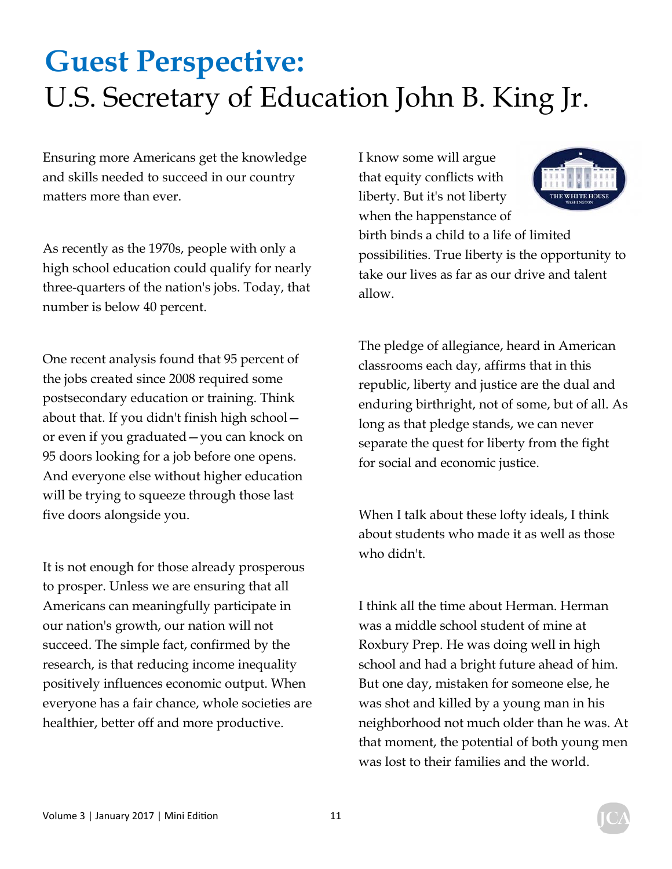Ensuring more Americans get the knowledge and skills needed to succeed in our country matters more than ever.

As recently as the 1970s, people with only a high school education could qualify for nearly three-quarters of the nation's jobs. Today, that number is below 40 percent.

One recent analysis found that 95 percent of the jobs created since 2008 required some postsecondary education or training. Think about that. If you didn't finish high school or even if you graduated—you can knock on 95 doors looking for a job before one opens. And everyone else without higher education will be trying to squeeze through those last five doors alongside you.

It is not enough for those already prosperous to prosper. Unless we are ensuring that all Americans can meaningfully participate in our nation's growth, our nation will not succeed. The simple fact, confirmed by the research, is that reducing income inequality positively influences economic output. When everyone has a fair chance, whole societies are healthier, better off and more productive.

I know some will argue that equity conflicts with liberty. But it's not liberty when the happenstance of birth binds a child to a life of limited possibilities. True liberty is the opportunity to take our lives as far as our drive and talent allow.

The pledge of allegiance, heard in American classrooms each day, affirms that in this republic, liberty and justice are the dual and enduring birthright, not of some, but of all. As long as that pledge stands, we can never separate the quest for liberty from the fight for social and economic justice.

When I talk about these lofty ideals, I think about students who made it as well as those who didn't.

I think all the time about Herman. Herman was a middle school student of mine at Roxbury Prep. He was doing well in high school and had a bright future ahead of him. But one day, mistaken for someone else, he was shot and killed by a young man in his neighborhood not much older than he was. At that moment, the potential of both young men was lost to their families and the world.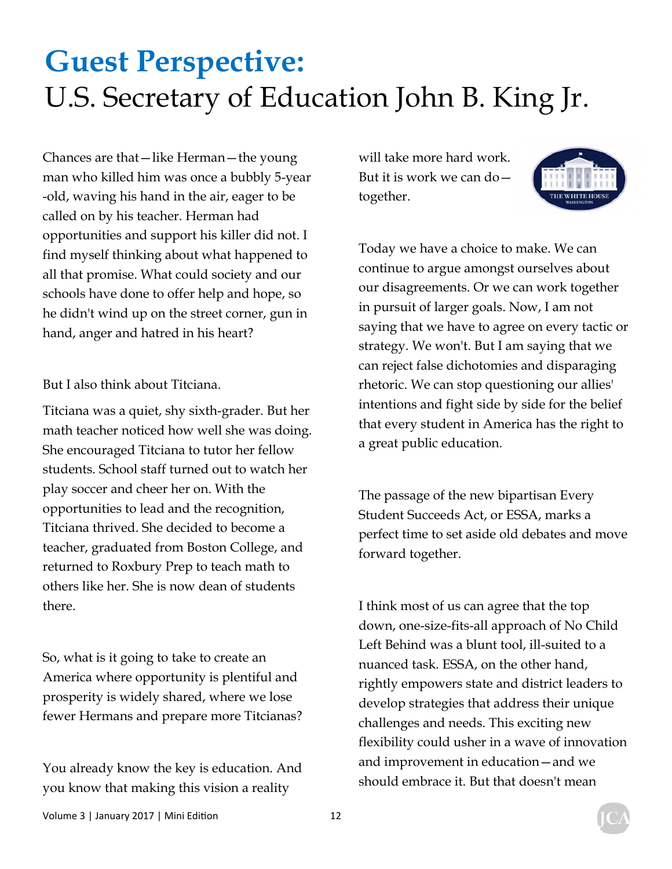Chances are that—like Herman—the young man who killed him was once a bubbly 5-year -old, waving his hand in the air, eager to be called on by his teacher. Herman had opportunities and support his killer did not. I find myself thinking about what happened to all that promise. What could society and our schools have done to offer help and hope, so he didn't wind up on the street corner, gun in hand, anger and hatred in his heart?

But I also think about Titciana.

Titciana was a quiet, shy sixth-grader. But her math teacher noticed how well she was doing. She encouraged Titciana to tutor her fellow students. School staff turned out to watch her play soccer and cheer her on. With the opportunities to lead and the recognition, Titciana thrived. She decided to become a teacher, graduated from Boston College, and returned to Roxbury Prep to teach math to others like her. She is now dean of students there.

So, what is it going to take to create an America where opportunity is plentiful and prosperity is widely shared, where we lose fewer Hermans and prepare more Titcianas?

You already know the key is education. And you know that making this vision a reality

will take more hard work. But it is work we can do together.



Today we have a choice to make. We can continue to argue amongst ourselves about our disagreements. Or we can work together in pursuit of larger goals. Now, I am not saying that we have to agree on every tactic or strategy. We won't. But I am saying that we can reject false dichotomies and disparaging rhetoric. We can stop questioning our allies' intentions and fight side by side for the belief that every student in America has the right to a great public education.

The passage of the new bipartisan Every Student Succeeds Act, or ESSA, marks a perfect time to set aside old debates and move forward together.

I think most of us can agree that the top down, one-size-fits-all approach of No Child Left Behind was a blunt tool, ill-suited to a nuanced task. ESSA, on the other hand, rightly empowers state and district leaders to develop strategies that address their unique challenges and needs. This exciting new flexibility could usher in a wave of innovation and improvement in education—and we should embrace it. But that doesn't mean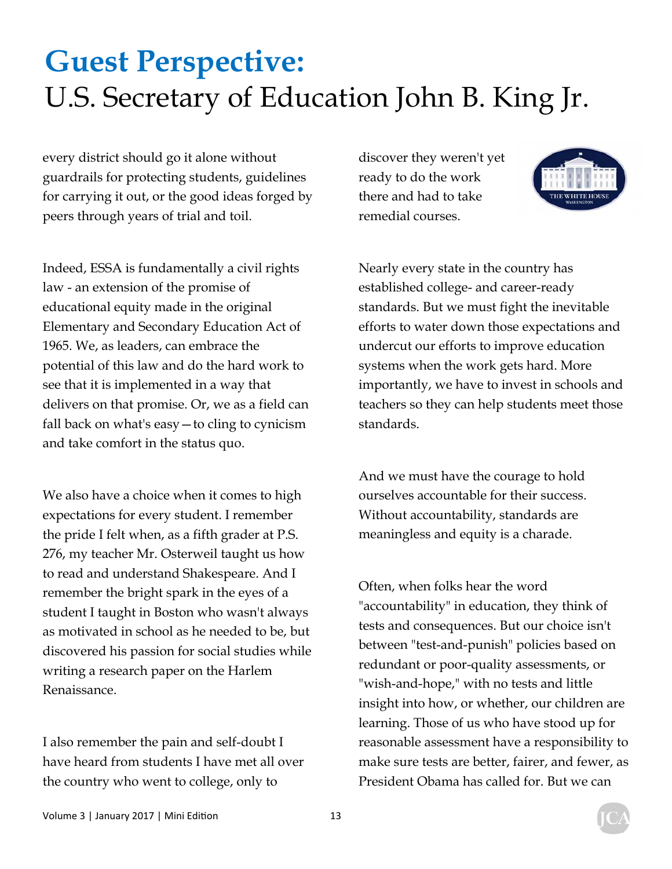every district should go it alone without guardrails for protecting students, guidelines for carrying it out, or the good ideas forged by peers through years of trial and toil.

Indeed, ESSA is fundamentally a civil rights law - an extension of the promise of educational equity made in the original Elementary and Secondary Education Act of 1965. We, as leaders, can embrace the potential of this law and do the hard work to see that it is implemented in a way that delivers on that promise. Or, we as a field can fall back on what's easy—to cling to cynicism and take comfort in the status quo.

We also have a choice when it comes to high expectations for every student. I remember the pride I felt when, as a fifth grader at P.S. 276, my teacher Mr. Osterweil taught us how to read and understand Shakespeare. And I remember the bright spark in the eyes of a student I taught in Boston who wasn't always as motivated in school as he needed to be, but discovered his passion for social studies while writing a research paper on the Harlem Renaissance.

I also remember the pain and self-doubt I have heard from students I have met all over the country who went to college, only to

discover they weren't yet ready to do the work there and had to take remedial courses.



Nearly every state in the country has established college- and career-ready standards. But we must fight the inevitable efforts to water down those expectations and undercut our efforts to improve education systems when the work gets hard. More importantly, we have to invest in schools and teachers so they can help students meet those standards.

And we must have the courage to hold ourselves accountable for their success. Without accountability, standards are meaningless and equity is a charade.

Often, when folks hear the word "accountability" in education, they think of tests and consequences. But our choice isn't between "test-and-punish" policies based on redundant or poor-quality assessments, or "wish-and-hope," with no tests and little insight into how, or whether, our children are learning. Those of us who have stood up for reasonable assessment have a responsibility to make sure tests are better, fairer, and fewer, as President Obama has called for. But we can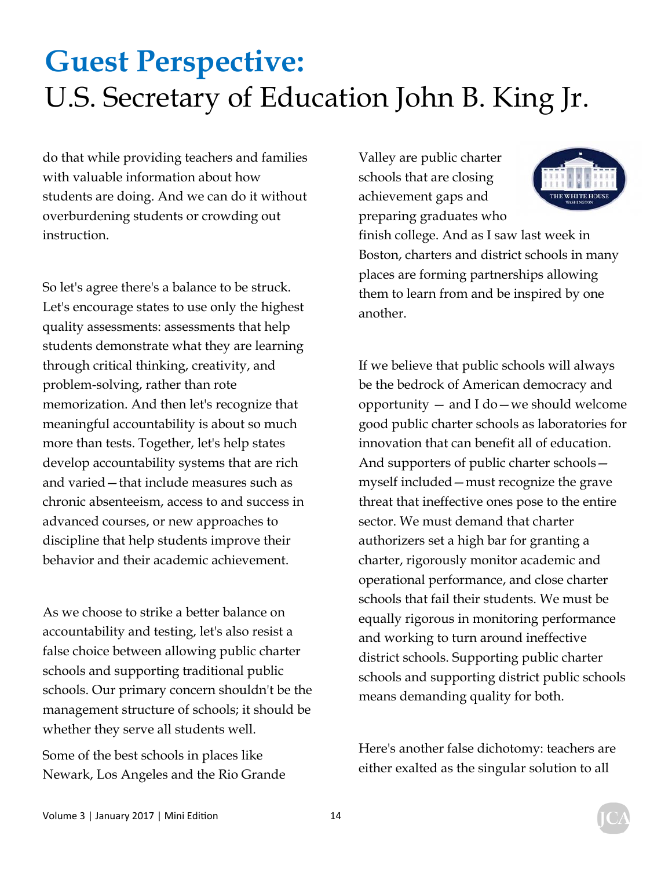do that while providing teachers and families with valuable information about how students are doing. And we can do it without overburdening students or crowding out instruction.

So let's agree there's a balance to be struck. Let's encourage states to use only the highest quality assessments: assessments that help students demonstrate what they are learning through critical thinking, creativity, and problem-solving, rather than rote memorization. And then let's recognize that meaningful accountability is about so much more than tests. Together, let's help states develop accountability systems that are rich and varied—that include measures such as chronic absenteeism, access to and success in advanced courses, or new approaches to discipline that help students improve their behavior and their academic achievement.

As we choose to strike a better balance on accountability and testing, let's also resist a false choice between allowing public charter schools and supporting traditional public schools. Our primary concern shouldn't be the management structure of schools; it should be whether they serve all students well.

Some of the best schools in places like Newark, Los Angeles and the Rio Grande Valley are public charter schools that are closing achievement gaps and preparing graduates who

finish college. And as I saw last week in Boston, charters and district schools in many places are forming partnerships allowing them to learn from and be inspired by one another.

If we believe that public schools will always be the bedrock of American democracy and opportunity — and I do—we should welcome good public charter schools as laboratories for innovation that can benefit all of education. And supporters of public charter schools myself included—must recognize the grave threat that ineffective ones pose to the entire sector. We must demand that charter authorizers set a high bar for granting a charter, rigorously monitor academic and operational performance, and close charter schools that fail their students. We must be equally rigorous in monitoring performance and working to turn around ineffective district schools. Supporting public charter schools and supporting district public schools means demanding quality for both.

Here's another false dichotomy: teachers are either exalted as the singular solution to all

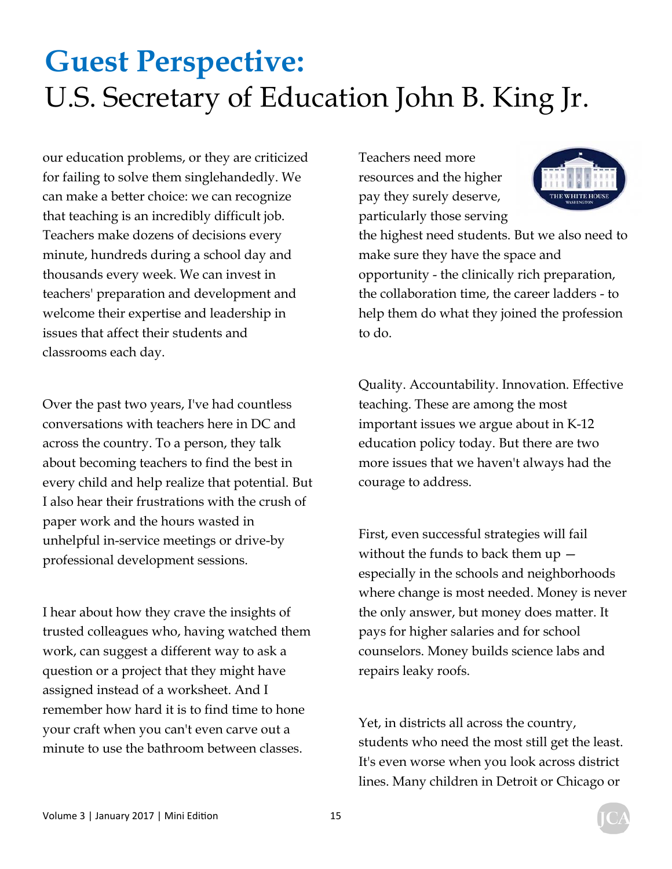our education problems, or they are criticized for failing to solve them singlehandedly. We can make a better choice: we can recognize that teaching is an incredibly difficult job. Teachers make dozens of decisions every minute, hundreds during a school day and thousands every week. We can invest in teachers' preparation and development and welcome their expertise and leadership in issues that affect their students and classrooms each day.

Over the past two years, I've had countless conversations with teachers here in DC and across the country. To a person, they talk about becoming teachers to find the best in every child and help realize that potential. But I also hear their frustrations with the crush of paper work and the hours wasted in unhelpful in-service meetings or drive-by professional development sessions.

I hear about how they crave the insights of trusted colleagues who, having watched them work, can suggest a different way to ask a question or a project that they might have assigned instead of a worksheet. And I remember how hard it is to find time to hone your craft when you can't even carve out a minute to use the bathroom between classes.

Teachers need more resources and the higher pay they surely deserve, particularly those serving



the highest need students. But we also need to make sure they have the space and opportunity - the clinically rich preparation, the collaboration time, the career ladders - to help them do what they joined the profession to do.

Quality. Accountability. Innovation. Effective teaching. These are among the most important issues we argue about in K-12 education policy today. But there are two more issues that we haven't always had the courage to address.

First, even successful strategies will fail without the funds to back them up especially in the schools and neighborhoods where change is most needed. Money is never the only answer, but money does matter. It pays for higher salaries and for school counselors. Money builds science labs and repairs leaky roofs.

Yet, in districts all across the country, students who need the most still get the least. It's even worse when you look across district lines. Many children in Detroit or Chicago or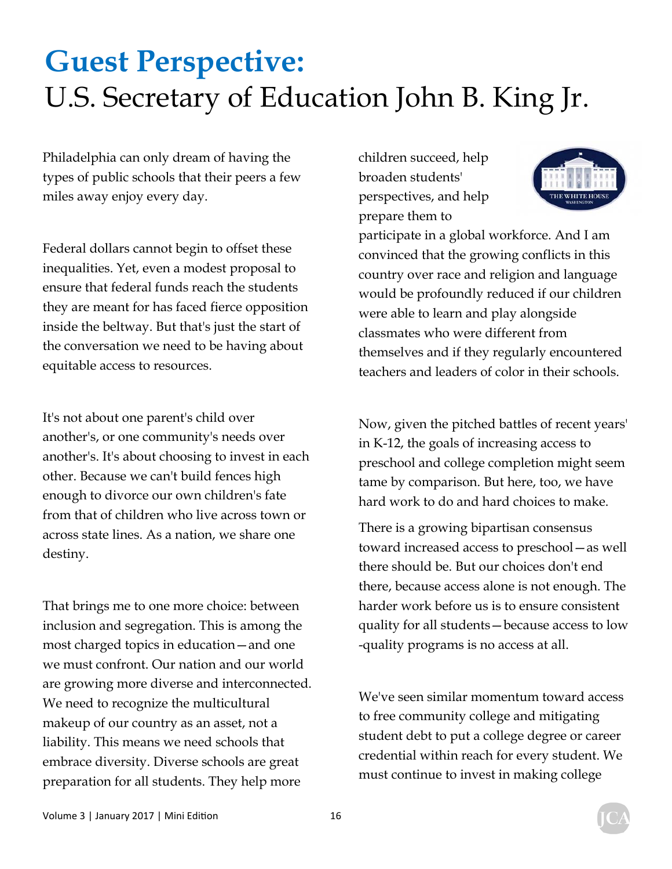Philadelphia can only dream of having the types of public schools that their peers a few miles away enjoy every day.

Federal dollars cannot begin to offset these inequalities. Yet, even a modest proposal to ensure that federal funds reach the students they are meant for has faced fierce opposition inside the beltway. But that's just the start of the conversation we need to be having about equitable access to resources.

It's not about one parent's child over another's, or one community's needs over another's. It's about choosing to invest in each other. Because we can't build fences high enough to divorce our own children's fate from that of children who live across town or across state lines. As a nation, we share one destiny.

That brings me to one more choice: between inclusion and segregation. This is among the most charged topics in education—and one we must confront. Our nation and our world are growing more diverse and interconnected. We need to recognize the multicultural makeup of our country as an asset, not a liability. This means we need schools that embrace diversity. Diverse schools are great preparation for all students. They help more

children succeed, help broaden students' perspectives, and help prepare them to



participate in a global workforce. And I am convinced that the growing conflicts in this country over race and religion and language would be profoundly reduced if our children were able to learn and play alongside classmates who were different from themselves and if they regularly encountered teachers and leaders of color in their schools.

Now, given the pitched battles of recent years' in K-12, the goals of increasing access to preschool and college completion might seem tame by comparison. But here, too, we have hard work to do and hard choices to make.

There is a growing bipartisan consensus toward increased access to preschool—as well there should be. But our choices don't end there, because access alone is not enough. The harder work before us is to ensure consistent quality for all students—because access to low -quality programs is no access at all.

We've seen similar momentum toward access to free community college and mitigating student debt to put a college degree or career credential within reach for every student. We must continue to invest in making college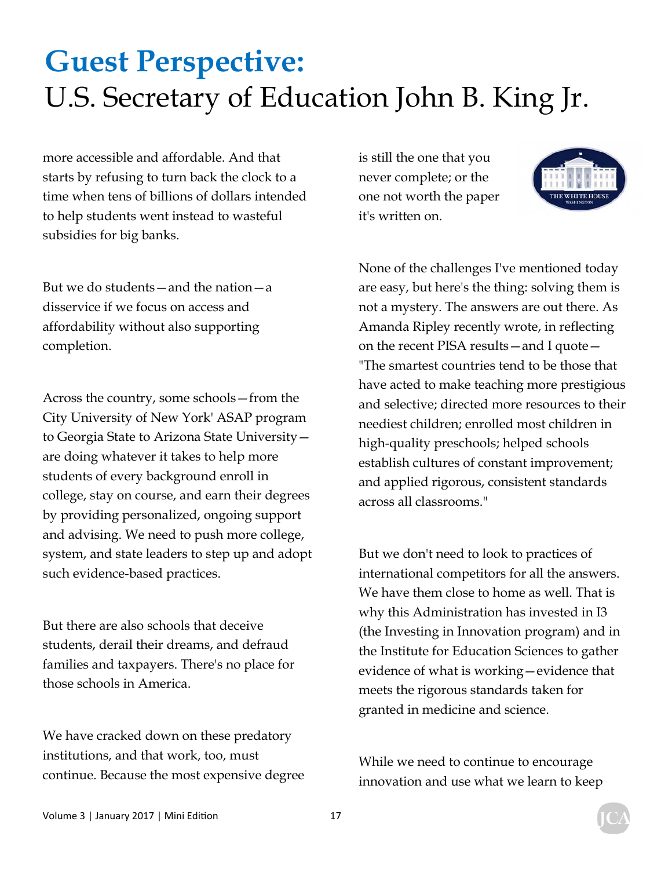more accessible and affordable. And that starts by refusing to turn back the clock to a time when tens of billions of dollars intended to help students went instead to wasteful subsidies for big banks.

But we do students—and the nation—a disservice if we focus on access and affordability without also supporting completion.

Across the country, some schools—from the City University of New York' ASAP program to Georgia State to Arizona State University are doing whatever it takes to help more students of every background enroll in college, stay on course, and earn their degrees by providing personalized, ongoing support and advising. We need to push more college, system, and state leaders to step up and adopt such evidence-based practices.

But there are also schools that deceive students, derail their dreams, and defraud families and taxpayers. There's no place for those schools in America.

We have cracked down on these predatory institutions, and that work, too, must continue. Because the most expensive degree is still the one that you never complete; or the one not worth the paper it's written on.



None of the challenges I've mentioned today are easy, but here's the thing: solving them is not a mystery. The answers are out there. As Amanda Ripley recently wrote, in reflecting on the recent PISA results—and I quote— "The smartest countries tend to be those that have acted to make teaching more prestigious and selective; directed more resources to their neediest children; enrolled most children in high-quality preschools; helped schools establish cultures of constant improvement; and applied rigorous, consistent standards across all classrooms."

But we don't need to look to practices of international competitors for all the answers. We have them close to home as well. That is why this Administration has invested in I3 (the Investing in Innovation program) and in the Institute for Education Sciences to gather evidence of what is working—evidence that meets the rigorous standards taken for granted in medicine and science.

While we need to continue to encourage innovation and use what we learn to keep